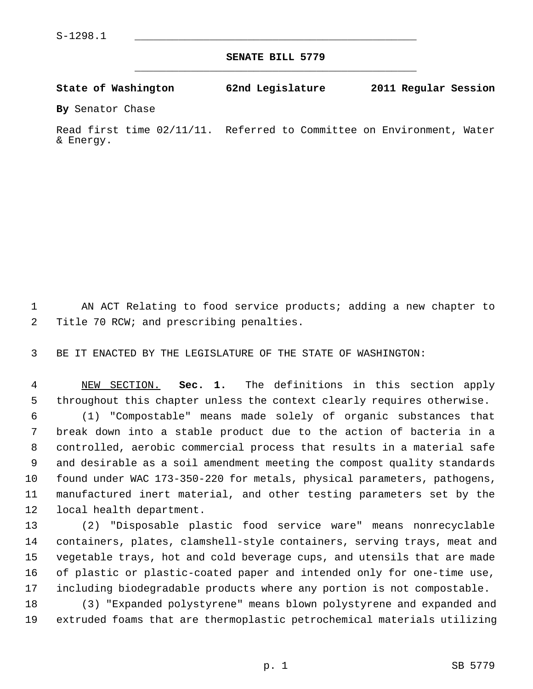**SENATE BILL 5779** \_\_\_\_\_\_\_\_\_\_\_\_\_\_\_\_\_\_\_\_\_\_\_\_\_\_\_\_\_\_\_\_\_\_\_\_\_\_\_\_\_\_\_\_\_

**State of Washington 62nd Legislature 2011 Regular Session**

**By** Senator Chase

Read first time 02/11/11. Referred to Committee on Environment, Water & Energy.

 1 AN ACT Relating to food service products; adding a new chapter to 2 Title 70 RCW; and prescribing penalties.

3 BE IT ENACTED BY THE LEGISLATURE OF THE STATE OF WASHINGTON:

 4 NEW SECTION. **Sec. 1.** The definitions in this section apply 5 throughout this chapter unless the context clearly requires otherwise. 6 (1) "Compostable" means made solely of organic substances that 7 break down into a stable product due to the action of bacteria in a 8 controlled, aerobic commercial process that results in a material safe 9 and desirable as a soil amendment meeting the compost quality standards 10 found under WAC 173-350-220 for metals, physical parameters, pathogens, 11 manufactured inert material, and other testing parameters set by the 12 local health department.

13 (2) "Disposable plastic food service ware" means nonrecyclable 14 containers, plates, clamshell-style containers, serving trays, meat and 15 vegetable trays, hot and cold beverage cups, and utensils that are made 16 of plastic or plastic-coated paper and intended only for one-time use, 17 including biodegradable products where any portion is not compostable.

18 (3) "Expanded polystyrene" means blown polystyrene and expanded and 19 extruded foams that are thermoplastic petrochemical materials utilizing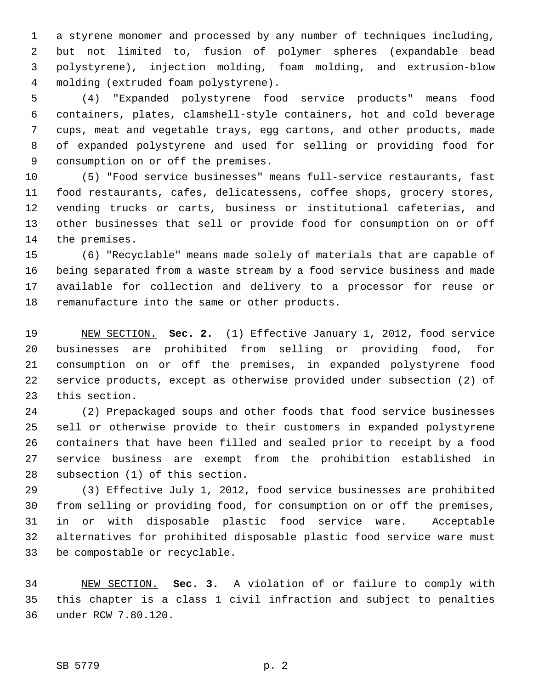1 a styrene monomer and processed by any number of techniques including, 2 but not limited to, fusion of polymer spheres (expandable bead 3 polystyrene), injection molding, foam molding, and extrusion-blow 4 molding (extruded foam polystyrene).

 5 (4) "Expanded polystyrene food service products" means food 6 containers, plates, clamshell-style containers, hot and cold beverage 7 cups, meat and vegetable trays, egg cartons, and other products, made 8 of expanded polystyrene and used for selling or providing food for 9 consumption on or off the premises.

10 (5) "Food service businesses" means full-service restaurants, fast 11 food restaurants, cafes, delicatessens, coffee shops, grocery stores, 12 vending trucks or carts, business or institutional cafeterias, and 13 other businesses that sell or provide food for consumption on or off 14 the premises.

15 (6) "Recyclable" means made solely of materials that are capable of 16 being separated from a waste stream by a food service business and made 17 available for collection and delivery to a processor for reuse or 18 remanufacture into the same or other products.

19 NEW SECTION. **Sec. 2.** (1) Effective January 1, 2012, food service 20 businesses are prohibited from selling or providing food, for 21 consumption on or off the premises, in expanded polystyrene food 22 service products, except as otherwise provided under subsection (2) of 23 this section.

24 (2) Prepackaged soups and other foods that food service businesses 25 sell or otherwise provide to their customers in expanded polystyrene 26 containers that have been filled and sealed prior to receipt by a food 27 service business are exempt from the prohibition established in 28 subsection (1) of this section.

29 (3) Effective July 1, 2012, food service businesses are prohibited 30 from selling or providing food, for consumption on or off the premises, 31 in or with disposable plastic food service ware. Acceptable 32 alternatives for prohibited disposable plastic food service ware must 33 be compostable or recyclable.

34 NEW SECTION. **Sec. 3.** A violation of or failure to comply with 35 this chapter is a class 1 civil infraction and subject to penalties 36 under RCW 7.80.120.